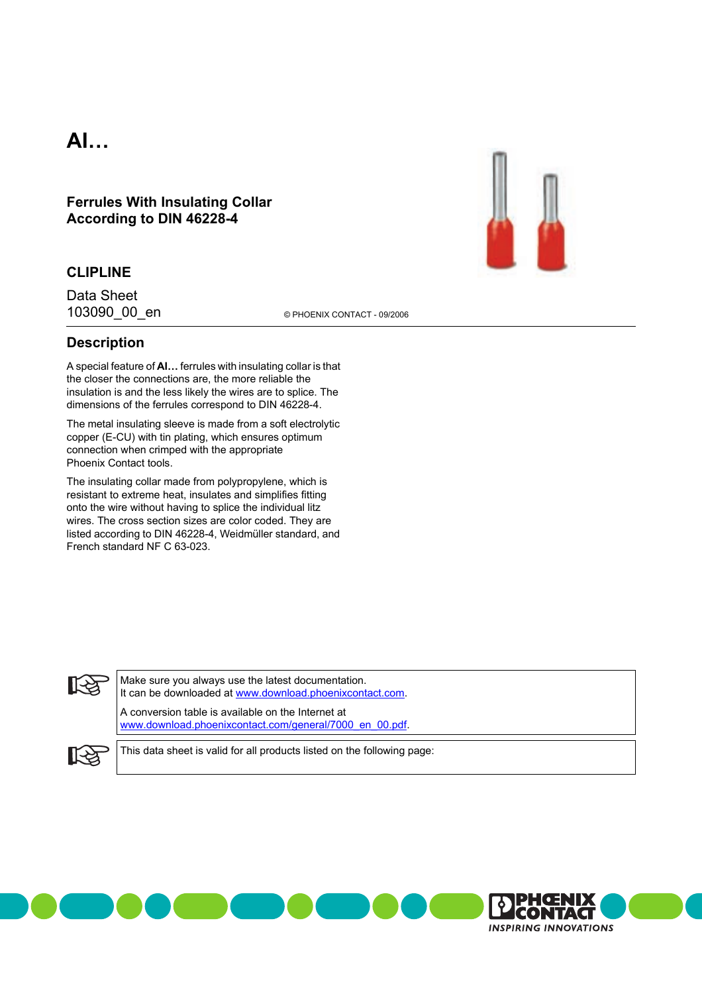# **AI…**

**Ferrules With Insulating Collar According to DIN 46228-4**

#### **CLIPLINE**

103090\_00\_en © PHOENIX CONTACT - 09/2006 Data Sheet

### **Description**

A special feature of **AI…** ferrules with insulating collar is that the closer the connections are, the more reliable the insulation is and the less likely the wires are to splice. The dimensions of the ferrules correspond to DIN 46228-4.

The metal insulating sleeve is made from a soft electrolytic copper (E-CU) with tin plating, which ensures optimum connection when crimped with the appropriate Phoenix Contact tools.

The insulating collar made from polypropylene, which is resistant to extreme heat, insulates and simplifies fitting onto the wire without having to splice the individual litz wires. The cross section sizes are color coded. They are listed according to DIN 46228-4, Weidmüller standard, and French standard NF C 63-023.



Make sure you always use the latest documentation. It can be downloaded at [www.download.phoenixcontact.com.](http://www.download.phoenixcontact.com)

A conversion table is available on the Internet at [www.download.phoenixcontact.com/general/7000\\_en\\_00.pdf.](http://www.download.phoenixcontact.com/general/7000_en_00.pdf)



This data sheet is valid for all products listed on the following page:



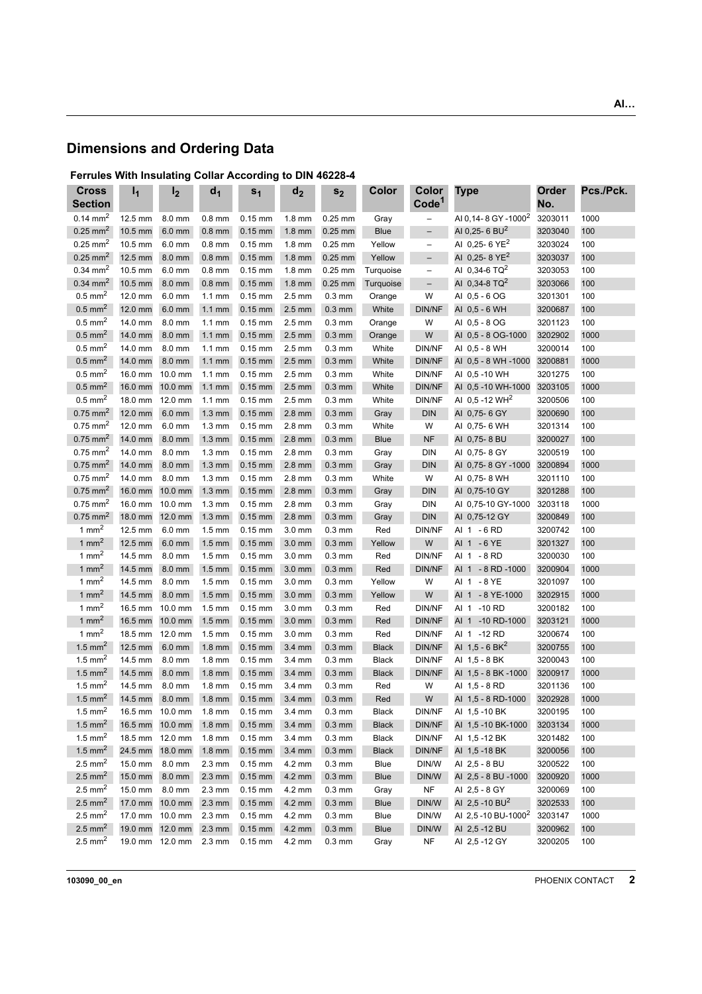# **Dimensions and Ordering Data**

### **Ferrules With Insulating Collar According to DIN 46228-4**

| <b>Cross</b><br><b>Section</b> | $I_1$   | I <sub>2</sub> | d <sub>1</sub>   | s <sub>1</sub>    | d <sub>2</sub>     | s <sub>2</sub>     | Color        | Color<br>Code <sup>1</sup> | <b>Type</b>                     | Order<br>No. | Pcs./Pck. |
|--------------------------------|---------|----------------|------------------|-------------------|--------------------|--------------------|--------------|----------------------------|---------------------------------|--------------|-----------|
| $0.14 \text{ mm}^2$            | 12.5 mm | 8.0 mm         | $0.8$ mm         | $0.15$ mm         | $1.8$ mm           | $0.25$ mm          | Gray         | $\overline{\phantom{0}}$   | AI 0,14-8 GY-1000 <sup>2</sup>  | 3203011      | 1000      |
| $0.25$ mm <sup>2</sup>         | 10.5 mm | $6.0$ mm       | $0.8$ mm         | $0.15$ mm         | $1.8$ mm           | $0.25$ mm          | <b>Blue</b>  | $\qquad \qquad -$          | AI 0.25- 6 BU <sup>2</sup>      | 3203040      | 100       |
| $0.25$ mm <sup>2</sup>         | 10.5 mm | 6.0 mm         | $0.8$ mm         | $0.15$ mm         | $1.8 \text{ mm}$   | $0.25$ mm          | Yellow       | $\qquad \qquad -$          | AI 0,25- 6 YE <sup>2</sup>      | 3203024      | 100       |
| $0.25$ mm <sup>2</sup>         | 12.5 mm | 8.0 mm         | $0.8$ mm         | $0.15$ mm         | $1.8$ mm           | $0.25$ mm          | Yellow       | $\qquad \qquad -$          | AI 0,25-8 YE <sup>2</sup>       | 3203037      | 100       |
| $0.34$ mm <sup>2</sup>         | 10.5 mm | 6.0 mm         | $0.8$ mm         | $0.15$ mm         | $1.8 \text{ mm}$   | $0.25$ mm          | Turquoise    | $\qquad \qquad -$          | AI 0,34-6 TQ <sup>2</sup>       | 3203053      | 100       |
| $0.34$ mm <sup>2</sup>         | 10.5 mm | 8.0 mm         | $0.8$ mm         | $0.15$ mm         | $1.8 \text{ mm}$   | $0.25$ mm          | Turquoise    | $\overline{\phantom{a}}$   | AI 0,34-8 TQ <sup>2</sup>       | 3203066      | 100       |
| $0.5$ mm <sup>2</sup>          | 12.0 mm | 6.0 mm         | $1.1 \text{ mm}$ | $0.15$ mm         | $2.5$ mm           | $0.3 \text{ mm}$   | Orange       | W                          | AI 0,5 - 6 OG                   | 3201301      | 100       |
| $0.5$ mm <sup>2</sup>          | 12.0 mm | 6.0 mm         | $1.1$ mm         | $0.15$ mm         | $2.5$ mm           | $0.3 \text{ mm}$   | White        | <b>DIN/NF</b>              | AI 0,5 - 6 WH                   | 3200687      | 100       |
| $0.5$ mm <sup>2</sup>          | 14.0 mm | 8.0 mm         | $1.1$ mm         | $0.15$ mm         | $2.5 \text{ mm}$   | $0.3 \text{ mm}$   | Orange       | W                          | AI 0,5 - 8 OG                   | 3201123      | 100       |
| $0.5$ mm <sup>2</sup>          | 14.0 mm | 8.0 mm         | $1.1$ mm         | $0.15$ mm         | $2.5$ mm           | $0.3$ mm           | Orange       | W                          | AI 0.5 - 8 OG-1000              | 3202902      | 1000      |
| $0.5$ mm <sup>2</sup>          | 14.0 mm | 8.0 mm         | $1.1 \text{ mm}$ | $0.15$ mm         | $2.5 \text{ mm}$   | $0.3 \text{ mm}$   | White        | DIN/NF                     | AI 0.5 - 8 WH                   | 3200014      | 100       |
| $0.5$ mm <sup>2</sup>          | 14.0 mm | 8.0 mm         | $1.1$ mm         | $0.15$ mm         | $2.5 \text{ mm}$   | $0.3$ mm           | White        | <b>DIN/NF</b>              | AI 0,5 - 8 WH -1000             | 3200881      | 1000      |
| $0.5$ mm <sup>2</sup>          | 16.0 mm | 10.0 mm        | $1.1$ mm         | $0.15$ mm         | $2.5 \text{ mm}$   | $0.3 \text{ mm}$   | White        | <b>DIN/NF</b>              | AI 0,5 -10 WH                   | 3201275      | 100       |
| $0.5$ mm <sup>2</sup>          | 16.0 mm | 10.0 mm        | $1.1$ mm         | $0.15$ mm         | $2.5$ mm           | $0.3 \, \text{mm}$ | White        | <b>DIN/NF</b>              | AI 0,5 -10 WH-1000              | 3203105      | 1000      |
| $0.5 \text{ mm}^2$             | 18.0 mm | 12.0 mm        | $1.1 \text{ mm}$ | $0.15$ mm         | $2.5 \text{ mm}$   | $0.3 \text{ mm}$   | White        | DIN/NF                     | AI 0,5 -12 WH <sup>2</sup>      | 3200506      | 100       |
| $0.75$ mm <sup>2</sup>         | 12.0 mm | 6.0 mm         | $1.3 \text{ mm}$ | $0.15$ mm         | $2.8$ mm           | $0.3$ mm           | Gray         | <b>DIN</b>                 | AI 0,75-6 GY                    | 3200690      | 100       |
| $0.75$ mm <sup>2</sup>         | 12.0 mm | 6.0 mm         | $1.3 \text{ mm}$ | $0.15$ mm         | $2.8 \text{ mm}$   | $0.3$ mm           | White        | W                          | AI 0,75- 6 WH                   | 3201314      | 100       |
| $0.75$ mm <sup>2</sup>         | 14.0 mm | 8.0 mm         | $1.3 \text{ mm}$ | $0.15$ mm         | $2.8$ mm           | $0.3$ mm           | <b>Blue</b>  | NF                         | AI 0,75-8 BU                    | 3200027      | 100       |
| $0.75$ mm <sup>2</sup>         | 14.0 mm | 8.0 mm         | $1.3 \text{ mm}$ | $0.15$ mm         | $2.8$ mm           | $0.3 \text{ mm}$   | Gray         | <b>DIN</b>                 | AI 0,75-8 GY                    | 3200519      | 100       |
| $0.75$ mm <sup>2</sup>         | 14.0 mm | 8.0 mm         | $1.3 \text{ mm}$ | $0.15$ mm         | $2.8$ mm           | $0.3 \, \text{mm}$ | Gray         | <b>DIN</b>                 | AI 0,75-8 GY-1000               | 3200894      | 1000      |
| $0.75$ mm <sup>2</sup>         | 14.0 mm | 8.0 mm         | $1.3 \text{ mm}$ | $0.15$ mm         | $2.8 \text{ mm}$   | $0.3 \text{ mm}$   | White        | W                          | AI 0,75-8 WH                    | 3201110      | 100       |
| $0.75$ mm <sup>2</sup>         | 16.0 mm | 10.0 mm        | $1.3 \text{ mm}$ | $0.15$ mm         | $2.8$ mm           | $0.3$ mm           | Gray         | <b>DIN</b>                 | AI 0,75-10 GY                   | 3201288      | 100       |
| $0.75$ mm <sup>2</sup>         | 16.0 mm | 10.0 mm        | $1.3 \text{ mm}$ | $0.15$ mm         | $2.8$ mm           | $0.3 \text{ mm}$   | Gray         | <b>DIN</b>                 | AI 0,75-10 GY-1000              | 3203118      | 1000      |
| $0.75$ mm <sup>2</sup>         | 18.0 mm | 12.0 mm        | $1.3 \text{ mm}$ | $0.15$ mm         | $2.8$ mm           | $0.3$ mm           | Gray         | <b>DIN</b>                 | AI 0,75-12 GY                   | 3200849      | 100       |
| 1 $mm2$                        | 12.5 mm | 6.0 mm         | $1.5 \text{ mm}$ | $0.15$ mm         | 3.0 mm             | $0.3 \text{ mm}$   | Red          | <b>DIN/NF</b>              | AI 1 - 6 RD                     | 3200742      | 100       |
| 1 $mm2$                        | 12.5 mm | $6.0$ mm       | $1.5 \text{ mm}$ | $0.15$ mm         | $3.0 \text{ mm}$   | $0.3 \text{ mm}$   | Yellow       | W                          | AI 1 - 6 YE                     | 3201327      | 100       |
| 1 $mm2$                        | 14.5 mm | 8.0 mm         | $1.5 \text{ mm}$ | $0.15$ mm         | $3.0 \text{ mm}$   | $0.3 \text{ mm}$   | Red          | DIN/NF                     | AI 1 - 8 RD                     | 3200030      | 100       |
| $1 \text{ mm}^2$               | 14.5 mm | 8.0 mm         | $1.5 \text{ mm}$ | $0.15$ mm         | 3.0 mm             | $0.3 \, \text{mm}$ | Red          | DIN/NF                     | AI 1 - 8 RD - 1000              | 3200904      | 1000      |
| $1 \text{ mm}^2$               | 14.5 mm | 8.0 mm         | $1.5 \text{ mm}$ | $0.15$ mm         | 3.0 mm             | $0.3 \text{ mm}$   | Yellow       | W                          | AI 1 - 8 YE                     | 3201097      | 100       |
| 1 $mm2$                        | 14.5 mm | 8.0 mm         | $1.5 \text{ mm}$ | $0.15$ mm         | 3.0 mm             | $0.3$ mm           | Yellow       | W                          | AI 1 - 8 YE-1000                | 3202915      | 1000      |
| 1 $mm2$                        | 16.5 mm | 10.0 mm        | $1.5 \text{ mm}$ | $0.15$ mm         | 3.0 mm             | $0.3 \text{ mm}$   | Red          | DIN/NF                     | AI 1 -10 RD                     | 3200182      | 100       |
| 1 $mm2$                        | 16.5 mm | 10.0 mm        | $1.5 \text{ mm}$ | $0.15$ mm         | $3.0 \text{ mm}$   | $0.3 \text{ mm}$   | Red          | <b>DIN/NF</b>              | AI 1 -10 RD-1000                | 3203121      | 1000      |
| 1 $mm2$                        | 18.5 mm | 12.0 mm        | $1.5 \text{ mm}$ | $0.15$ mm         | $3.0 \text{ mm}$   | $0.3 \text{ mm}$   | Red          | DIN/NF                     | AI 1 -12 RD                     | 3200674      | 100       |
| $1.5$ mm <sup>2</sup>          | 12.5 mm | 6.0 mm         | $1.8$ mm         | $0.15$ mm         | 3.4 mm             | $0.3$ mm           | <b>Black</b> | <b>DIN/NF</b>              | Al $1,5 - 6$ BK <sup>2</sup>    | 3200755      | 100       |
| $1.5$ mm <sup>2</sup>          | 14.5 mm | 8.0 mm         | $1.8 \text{ mm}$ | $0.15$ mm         | 3.4 mm             | $0.3 \text{ mm}$   | Black        | DIN/NF                     | AI 1,5 - 8 BK                   | 3200043      | 100       |
| $1.5$ mm <sup>2</sup>          | 14.5 mm | 8.0 mm         | $1.8$ mm         | $0.15$ mm         | $3.4 \text{ mm}$   | $0.3$ mm           | <b>Black</b> | DIN/NF                     | AI 1,5 - 8 BK -1000             | 3200917      | 1000      |
| $1.5$ mm <sup>2</sup>          | 14.5 mm | 8.0 mm         | $1.8 \text{ mm}$ | $0.15$ mm         | 3.4 mm             | $0.3 \text{ mm}$   | Red          | W                          | AI 1,5 - 8 RD                   | 3201136      | 100       |
| $1.5$ mm <sup>2</sup>          | 14.5 mm | 8.0 mm         | $1.8$ mm         | $0.15$ mm         | $3.4 \text{ mm}$   | $0.3 \text{ mm}$   | Red          | W                          | AI 1,5 - 8 RD-1000              | 3202928      | 1000      |
| $1.5 \text{ mm}^2$             | 16.5 mm | 10.0 mm        | $1.8$ mm         | $0.15 \text{ mm}$ | 3.4 mm             | $0.3 \text{ mm}$   | Black        | DIN/NF                     | AI 1,5 -10 BK                   | 3200195      | 100       |
| 1.5 mm <sup>2</sup>            | 16.5 mm | 10.0 mm        | $1.8 \text{ mm}$ | $0.15$ mm         | $3.4 \text{ mm}$   | $0.3 \text{ mm}$   | <b>Black</b> | DIN/NF                     | AI 1,5 -10 BK-1000              | 3203134      | 1000      |
| $1.5$ mm <sup>2</sup>          | 18.5 mm | 12.0 mm        | $1.8$ mm         | $0.15$ mm         | $3.4 \text{ mm}$   | $0.3 \text{ mm}$   | Black        | DIN/NF                     | AI 1,5 -12 BK                   | 3201482      | 100       |
| $1.5$ mm <sup>2</sup>          | 24.5 mm | 18.0 mm        | $1.8$ mm         | $0.15$ mm         | $3.4 \, \text{mm}$ | $0.3 \text{ mm}$   | <b>Black</b> | <b>DIN/NF</b>              | AI 1,5 -18 BK                   | 3200056      | 100       |
| $2.5$ mm <sup>2</sup>          | 15.0 mm | 8.0 mm         | $2.3 \text{ mm}$ | $0.15$ mm         | 4.2 mm             | $0.3 \text{ mm}$   | Blue         | DIN/W                      | AI 2,5 - 8 BU                   | 3200522      | 100       |
| $2.5 \text{ mm}^2$             | 15.0 mm | 8.0 mm         | $2.3 \text{ mm}$ | $0.15$ mm         | 4.2 mm             | $0.3 \text{ mm}$   | Blue         | DIN/W                      | AI 2,5 - 8 BU -1000             | 3200920      | 1000      |
| $2.5$ mm <sup>2</sup>          | 15.0 mm | 8.0 mm         | $2.3 \text{ mm}$ | $0.15$ mm         | 4.2 mm             | $0.3 \text{ mm}$   | Gray         | NF                         | AI 2,5 - 8 GY                   | 3200069      | 100       |
| $2.5$ mm <sup>2</sup>          | 17.0 mm | 10.0 mm        | $2.3 \text{ mm}$ | $0.15$ mm         | 4.2 mm             | $0.3 \text{ mm}$   | <b>Blue</b>  | DIN/W                      | AI 2,5 -10 BU <sup>2</sup>      | 3202533      | 100       |
| $2.5 \, \text{mm}^2$           | 17.0 mm | 10.0 mm        | $2.3$ mm         | $0.15$ mm         | 4.2 mm             | $0.3 \text{ mm}$   | Blue         | DIN/W                      | AI 2,5 -10 BU-1000 <sup>2</sup> | 3203147      | 1000      |
| $2.5$ mm <sup>2</sup>          | 19.0 mm | 12.0 mm        | $2.3$ mm         | $0.15$ mm         | 4.2 mm             | $0.3 \text{ mm}$   | <b>Blue</b>  | DIN/W                      | AI 2,5 -12 BU                   | 3200962      | 100       |
| $2.5$ mm <sup>2</sup>          | 19.0 mm | 12.0 mm        | 2.3 mm           | $0.15$ mm         | 4.2 mm             | $0.3 \text{ mm}$   | Gray         | NF                         | AI 2,5 - 12 GY                  | 3200205      | 100       |

**103090\_00\_en** PHOENIX CONTACT **2**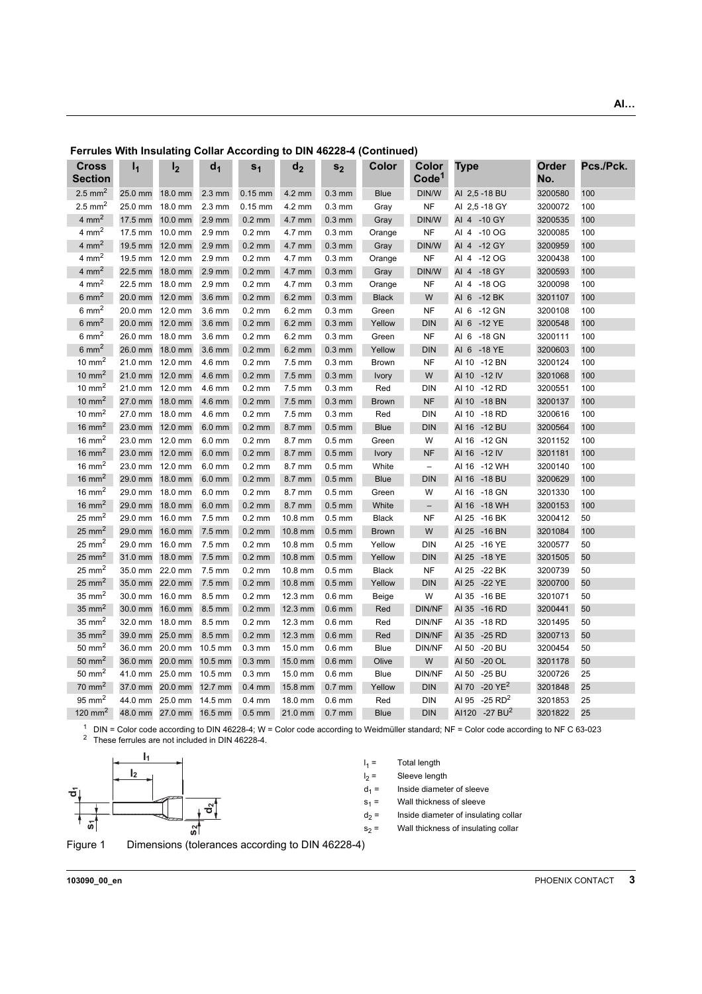| <b>Cross</b>         | $I_1$   | I <sub>2</sub> | d <sub>1</sub>   | s <sub>1</sub>   | d <sub>2</sub>   |                  | Color        | Color                    | Type                        | Order   | Pcs./Pck. |
|----------------------|---------|----------------|------------------|------------------|------------------|------------------|--------------|--------------------------|-----------------------------|---------|-----------|
| <b>Section</b>       |         |                |                  |                  |                  | s <sub>2</sub>   |              | Code <sup>1</sup>        |                             | No.     |           |
| 2.5 mm <sup>2</sup>  | 25.0 mm | 18.0 mm        | $2.3 \text{ mm}$ | $0.15$ mm        | 4.2 mm           | $0.3$ mm         | <b>Blue</b>  | DIN/W                    | AI 2,5 -18 BU               | 3200580 | 100       |
| $2.5 \text{ mm}^2$   | 25.0 mm | 18.0 mm        | 2.3 mm           | $0.15$ mm        | 4.2 mm           | $0.3 \text{ mm}$ | Gray         | NF                       | AI 2,5 - 18 GY              | 3200072 | 100       |
| $4 \text{ mm}^2$     | 17.5 mm | 10.0 mm        | 2.9 mm           | $0.2$ mm         | 4.7 mm           | $0.3$ mm         | Gray         | DIN/W                    | AI 4 -10 GY                 | 3200535 | 100       |
| $4 \text{ mm}^2$     | 17.5 mm | 10.0 mm        | $2.9$ mm         | $0.2$ mm         | 4.7 mm           | $0.3 \text{ mm}$ | Orange       | <b>NF</b>                | AI 4 -10 OG                 | 3200085 | 100       |
| $4 \text{ mm}^2$     | 19.5 mm | 12.0 mm        | 2.9 mm           | $0.2$ mm         | 4.7 mm           | $0.3$ mm         | Gray         | DIN/W                    | AI 4 -12 GY                 | 3200959 | 100       |
| $4 \text{ mm}^2$     | 19.5 mm | 12.0 mm        | 2.9 mm           | $0.2$ mm         | 4.7 mm           | $0.3$ mm         | Orange       | <b>NF</b>                | AI 4 -12 OG                 | 3200438 | 100       |
| $4 \text{ mm}^2$     | 22.5 mm | 18.0 mm        | $2.9$ mm         | $0.2$ mm         | 4.7 mm           | $0.3$ mm         | Gray         | DIN/W                    | AI 4 -18 GY                 | 3200593 | 100       |
| $4 \text{ mm}^2$     | 22.5 mm | 18.0 mm        | 2.9 mm           | $0.2$ mm         | 4.7 mm           | $0.3$ mm         | Orange       | <b>NF</b>                | AI 4 -18 OG                 | 3200098 | 100       |
| $6 \text{ mm}^2$     | 20.0 mm | 12.0 mm        | 3.6 mm           | $0.2$ mm         | $6.2 \text{ mm}$ | $0.3$ mm         | <b>Black</b> | W                        | AI 6 -12 BK                 | 3201107 | 100       |
| $6 \text{ mm}^2$     | 20.0 mm | 12.0 mm        | 3.6 mm           | $0.2$ mm         | $6.2 \text{ mm}$ | $0.3 \text{ mm}$ | Green        | <b>NF</b>                | AI 6 -12 GN                 | 3200108 | 100       |
| $6 \text{ mm}^2$     | 20.0 mm | 12.0 mm        | 3.6 mm           | $0.2$ mm         | $6.2 \text{ mm}$ | $0.3$ mm         | Yellow       | <b>DIN</b>               | AI 6 -12 YE                 | 3200548 | 100       |
| $6 \text{ mm}^2$     | 26.0 mm | 18.0 mm        | 3.6 mm           | $0.2$ mm         | $6.2 \text{ mm}$ | $0.3 \text{ mm}$ | Green        | <b>NF</b>                | AI 6 -18 GN                 | 3200111 | 100       |
| $6 \text{ mm}^2$     | 26.0 mm | 18.0 mm        | 3.6 mm           | $0.2$ mm         | $6.2 \text{ mm}$ | $0.3$ mm         | Yellow       | <b>DIN</b>               | AI 6 -18 YE                 | 3200603 | 100       |
| $10 \text{ mm}^2$    | 21.0 mm | 12.0 mm        | 4.6 mm           | $0.2$ mm         | $7.5 \text{ mm}$ | $0.3 \text{ mm}$ | <b>Brown</b> | <b>NF</b>                | AI 10 -12 BN                | 3200124 | 100       |
| $10 \text{ mm}^2$    | 21.0 mm | 12.0 mm        | 4.6 mm           | $0.2 \text{ mm}$ | $7.5 \text{ mm}$ | $0.3 \text{ mm}$ | <b>Ivory</b> | W                        | AI 10 -12 IV                | 3201068 | 100       |
| $10 \text{ mm}^2$    | 21.0 mm | 12.0 mm        | 4.6 mm           | $0.2$ mm         | $7.5$ mm         | $0.3$ mm         | Red          | <b>DIN</b>               | AI 10 -12 RD                | 3200551 | 100       |
| $10 \text{ mm}^2$    | 27.0 mm | 18.0 mm        | 4.6 mm           | $0.2$ mm         | $7.5$ mm         | $0.3$ mm         | <b>Brown</b> | <b>NF</b>                | AI 10<br>$-18$ BN           | 3200137 | 100       |
| $10 \text{ mm}^2$    | 27.0 mm | 18.0 mm        | 4.6 mm           | $0.2$ mm         | $7.5 \text{ mm}$ | $0.3$ mm         | Red          | <b>DIN</b>               | AI 10 -18 RD                | 3200616 | 100       |
| $16 \text{ mm}^2$    | 23.0 mm | 12.0 mm        | 6.0 mm           | $0.2$ mm         | 8.7 mm           | $0.5$ mm         | <b>Blue</b>  | <b>DIN</b>               | AI 16 -12 BU                | 3200564 | 100       |
| $16 \text{ mm}^2$    | 23.0 mm | 12.0 mm        | 6.0 mm           | $0.2$ mm         | 8.7 mm           | $0.5$ mm         | Green        | W                        | AI 16 -12 GN                | 3201152 | 100       |
| $16 \text{ mm}^2$    | 23.0 mm | 12.0 mm        | $6.0$ mm         | $0.2$ mm         | 8.7 mm           | $0.5$ mm         | Ivory        | <b>NF</b>                | AI 16 -12 IV                | 3201181 | 100       |
| 16 mm <sup>2</sup>   | 23.0 mm | 12.0 mm        | $6.0$ mm         | $0.2$ mm         | 8.7 mm           | $0.5$ mm         | White        | $\qquad \qquad -$        | AI 16 -12 WH                | 3200140 | 100       |
| $16 \text{ mm}^2$    | 29.0 mm | 18.0 mm        | $6.0$ mm         | $0.2$ mm         | 8.7 mm           | $0.5$ mm         | <b>Blue</b>  | <b>DIN</b>               | AI 16 - 18 BU               | 3200629 | 100       |
| $16 \text{ mm}^2$    | 29.0 mm | 18.0 mm        | $6.0$ mm         | $0.2$ mm         | 8.7 mm           | $0.5 \text{ mm}$ | Green        | W                        | AI 16 -18 GN                | 3201330 | 100       |
| $16 \text{ mm}^2$    | 29.0 mm | 18.0 mm        | 6.0 mm           | $0.2$ mm         | 8.7 mm           | $0.5$ mm         | White        | $\overline{\phantom{0}}$ | AI 16 -18 WH                | 3200153 | 100       |
| $25 \text{ mm}^2$    | 29.0 mm | 16.0 mm        | 7.5 mm           | $0.2$ mm         | 10.8 mm          | $0.5$ mm         | <b>Black</b> | <b>NF</b>                | AI 25 - 16 BK               | 3200412 | 50        |
| $25 \text{ mm}^2$    | 29.0 mm | 16.0 mm        | 7.5 mm           | $0.2$ mm         | 10.8 mm          | $0.5$ mm         | <b>Brown</b> | W                        | AI 25<br>$-16$ BN           | 3201084 | 100       |
| $25 \text{ mm}^2$    | 29.0 mm | 16.0 mm        | 7.5 mm           | $0.2$ mm         | 10.8 mm          | $0.5$ mm         | Yellow       | <b>DIN</b>               | AI 25 - 16 YE               | 3200577 | 50        |
| $25 \text{ mm}^2$    | 31.0 mm | 18.0 mm        | 7.5 mm           | $0.2$ mm         | 10.8 mm          | $0.5$ mm         | Yellow       | <b>DIN</b>               | AI 25 - 18 YE               | 3201505 | 50        |
| $25$ mm <sup>2</sup> | 35.0 mm | 22.0 mm        | 7.5 mm           | $0.2$ mm         | 10.8 mm          | $0.5$ mm         | <b>Black</b> | <b>NF</b>                | AI 25 - 22 BK               | 3200739 | 50        |
| $25 \text{ mm}^2$    | 35.0 mm | 22.0 mm        | 7.5 mm           | $0.2$ mm         | 10.8 mm          | $0.5$ mm         | Yellow       | <b>DIN</b>               | AI 25 - 22 YE               | 3200700 | 50        |
| $35 \text{ mm}^2$    | 30.0 mm | 16.0 mm        | 8.5 mm           | $0.2$ mm         | 12.3 mm          | $0.6$ mm         | Beige        | W                        | AI 35 -16 BE                | 3201071 | 50        |
| $35 \text{ mm}^2$    | 30.0 mm | 16.0 mm        | 8.5 mm           | $0.2$ mm         | 12.3 mm          | $0.6$ mm         | Red          | <b>DIN/NF</b>            | AI 35 - 16 RD               | 3200441 | 50        |
| $35$ mm <sup>2</sup> | 32.0 mm | 18.0 mm        | 8.5 mm           | $0.2$ mm         | 12.3 mm          | $0.6$ mm         | Red          | DIN/NF                   | AI 35<br>-18 RD             | 3201495 | 50        |
| $35 \text{ mm}^2$    | 39.0 mm | 25.0 mm        | 8.5 mm           | $0.2$ mm         | 12.3 mm          | $0.6$ mm         | Red          | <b>DIN/NF</b>            | AI 35 -25 RD                | 3200713 | 50        |
| $50 \text{ mm}^2$    | 36.0 mm | 20.0 mm        | 10.5 mm          | $0.3 \text{ mm}$ | 15.0 mm          | $0.6$ mm         | <b>Blue</b>  | DIN/NF                   | AI 50 -20 BU                | 3200454 | 50        |
| $50 \text{ mm}^2$    | 36.0 mm | 20.0 mm        | 10.5 mm          | $0.3$ mm         | 15.0 mm          | $0.6$ mm         | Olive        | W                        | AI 50 -20 OL                | 3201178 | 50        |
| $50 \text{ mm}^2$    | 41.0 mm | 25.0 mm        | 10.5 mm          | $0.3 \text{ mm}$ | 15.0 mm          | $0.6$ mm         | <b>Blue</b>  | DIN/NF                   | -25 BU<br>AI 50             | 3200726 | 25        |
| $70 \text{ mm}^2$    | 37.0 mm | 20.0 mm        | 12.7 mm          | $0.4$ mm         | 15.8 mm          | $0.7$ mm         | Yellow       | <b>DIN</b>               | AI 70<br>$-20 \text{ YE}^2$ | 3201848 | 25        |
| $95$ mm <sup>2</sup> | 44.0 mm | 25.0 mm        | 14.5 mm          | $0.4$ mm         | 18.0 mm          | $0.6$ mm         | Red          | <b>DIN</b>               | AI 95 -25 RD <sup>2</sup>   | 3201853 | 25        |
| 120 mm <sup>2</sup>  | 48.0 mm | 27.0 mm        | 16.5 mm          | $0.5$ mm         | 21.0 mm          | $0.7$ mm         | <b>Blue</b>  | <b>DIN</b>               | AI120 -27 BU <sup>2</sup>   | 3201822 | 25        |
|                      |         |                |                  |                  |                  |                  |              |                          |                             |         |           |

**Ferrules With Insulating Collar According to DIN 46228-4 (Continued)**

<sup>1</sup> DIN = Color code according to DIN 46228-4; W = Color code according to Weidmüller standard; NF = Color code according to NF C 63-023 <sup>2</sup> These ferrules are not included in DIN 46228-4.

<span id="page-2-0"></span>

 $I_1 =$ Total length  $I_2 =$ Sleeve length  $d_1$  = Inside diameter of sleeve  $s_1$  = Wall thickness of sleeve  $d_2$  = Inside diameter of insulating collar  $s_2$  = Wall thickness of insulating collar